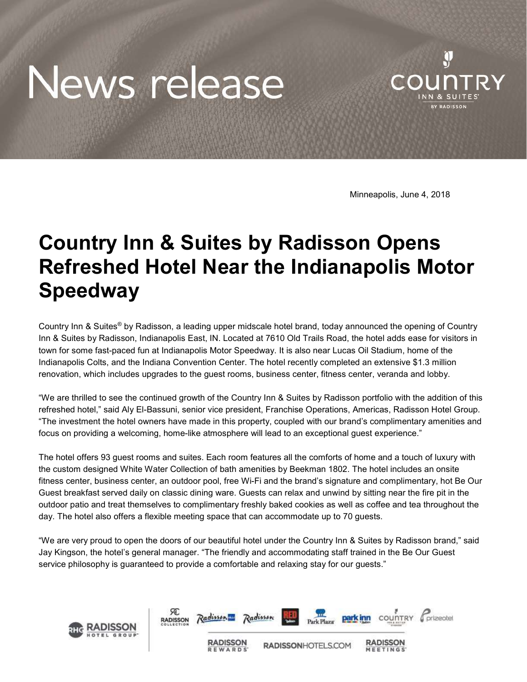## News release



Minneapolis, June 4, 2018

## Country Inn & Suites by Radisson Opens Refreshed Hotel Near the Indianapolis Motor Speedway

Country Inn & Suites® by Radisson, a leading upper midscale hotel brand, today announced the opening of Country Inn & Suites by Radisson, Indianapolis East, IN. Located at 7610 Old Trails Road, the hotel adds ease for visitors in town for some fast-paced fun at Indianapolis Motor Speedway. It is also near Lucas Oil Stadium, home of the Indianapolis Colts, and the Indiana Convention Center. The hotel recently completed an extensive \$1.3 million renovation, which includes upgrades to the guest rooms, business center, fitness center, veranda and lobby.

"We are thrilled to see the continued growth of the Country Inn & Suites by Radisson portfolio with the addition of this refreshed hotel," said Aly El-Bassuni, senior vice president, Franchise Operations, Americas, Radisson Hotel Group. "The investment the hotel owners have made in this property, coupled with our brand's complimentary amenities and focus on providing a welcoming, home-like atmosphere will lead to an exceptional guest experience."

The hotel offers 93 guest rooms and suites. Each room features all the comforts of home and a touch of luxury with the custom designed White Water Collection of bath amenities by Beekman 1802. The hotel includes an onsite fitness center, business center, an outdoor pool, free Wi-Fi and the brand's signature and complimentary, hot Be Our Guest breakfast served daily on classic dining ware. Guests can relax and unwind by sitting near the fire pit in the outdoor patio and treat themselves to complimentary freshly baked cookies as well as coffee and tea throughout the day. The hotel also offers a flexible meeting space that can accommodate up to 70 guests.

"We are very proud to open the doors of our beautiful hotel under the Country Inn & Suites by Radisson brand," said Jay Kingson, the hotel's general manager. "The friendly and accommodating staff trained in the Be Our Guest service philosophy is guaranteed to provide a comfortable and relaxing stay for our guests."